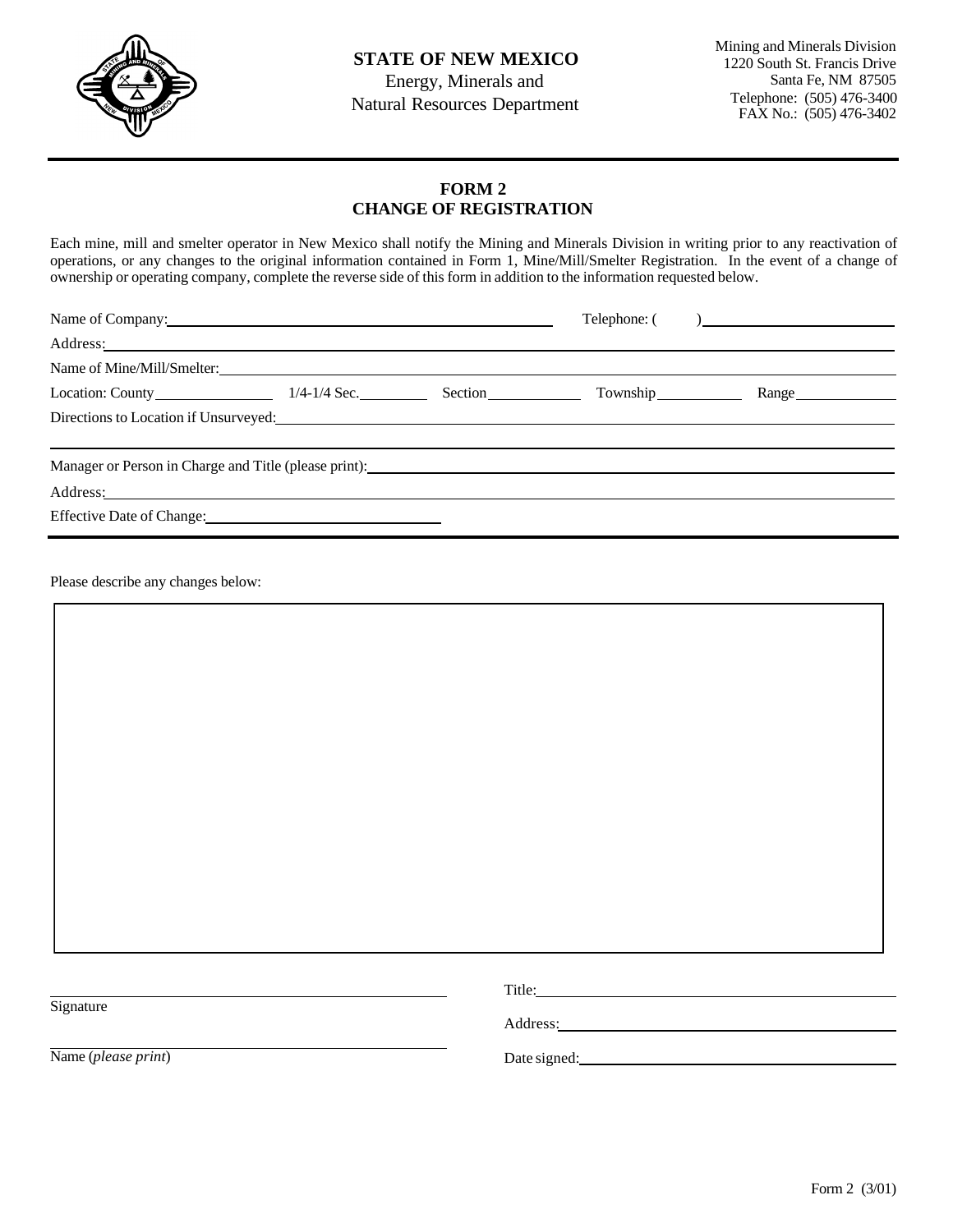

Energy, Minerals and Natural Resources Department Mining and Minerals Division 1220 South St. Francis Drive Santa Fe, NM 87505 Telephone: (505) 476-3400 FAX No.: (505) 476-3402

## **FORM 2 CHANGE OF REGISTRATION**

Each mine, mill and smelter operator in New Mexico shall notify the Mining and Minerals Division in writing prior to any reactivation of operations, or any changes to the original information contained in Form 1, Mine/Mill/Smelter Registration. In the event of a change of ownership or operating company, complete the reverse side of this form in addition to the information requested below.

| Name of Company:                                                                                                                                                                                                               |  |  | Telephone: () |       |  |
|--------------------------------------------------------------------------------------------------------------------------------------------------------------------------------------------------------------------------------|--|--|---------------|-------|--|
| Address: No. 2014 and 2015 and 2016 and 2017 and 2017 and 2017 and 2017 and 2017 and 2017 and 2017 and 2017 and 2017 and 2017 and 2017 and 2017 and 2017 and 2017 and 2017 and 2017 and 2017 and 2017 and 2017 and 2017 and 20 |  |  |               |       |  |
| Name of Mine/Mill/Smelter:                                                                                                                                                                                                     |  |  |               |       |  |
| Location: County 1/4-1/4 Sec. Section County Township                                                                                                                                                                          |  |  |               | Range |  |
| Directions to Location if Unsurveyed: New York Changes and Security Changes and Security Changes and Security Changes and Security Changes and Security Changes and Security Changes and Security Changes and Security Changes |  |  |               |       |  |
| Manager or Person in Charge and Title (please print):                                                                                                                                                                          |  |  |               |       |  |
|                                                                                                                                                                                                                                |  |  |               |       |  |
| Effective Date of Change: 1993                                                                                                                                                                                                 |  |  |               |       |  |

Please describe any changes below:

| Signature           | Address: 2008 and 2008 and 2008 and 2008 and 2008 and 2008 and 2008 and 2008 and 2008 and 2008 and 2008 and 20 |  |  |  |
|---------------------|----------------------------------------------------------------------------------------------------------------|--|--|--|
| Name (please print) | Date signed:                                                                                                   |  |  |  |